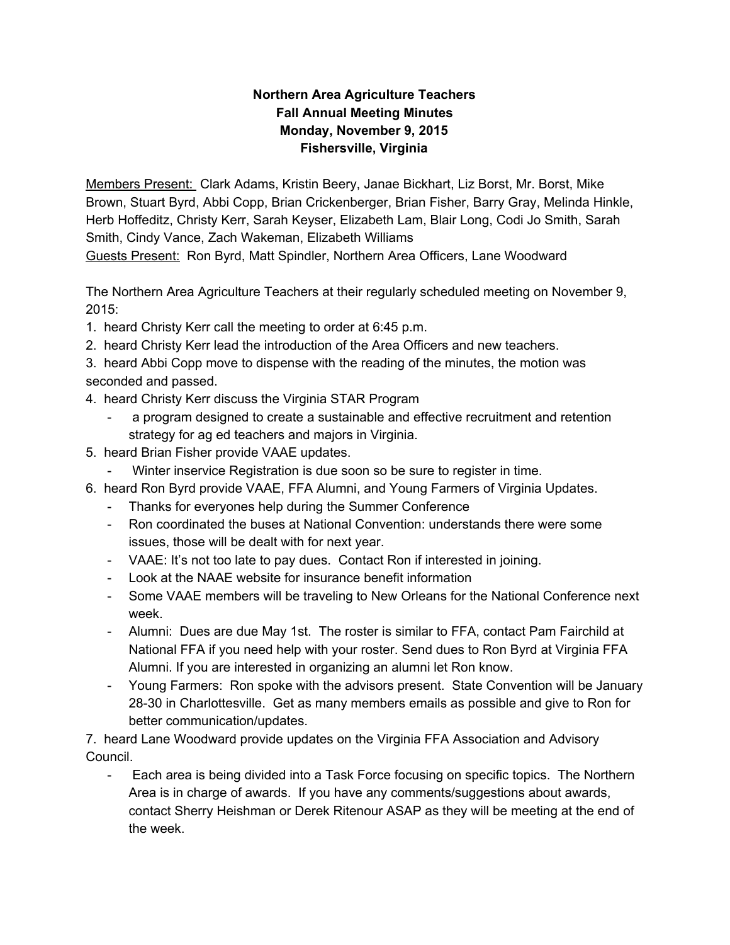## **Northern Area Agriculture Teachers Fall Annual Meeting Minutes Monday, November 9, 2015 Fishersville, Virginia**

Members Present: Clark Adams, Kristin Beery, Janae Bickhart, Liz Borst, Mr. Borst, Mike Brown, Stuart Byrd, Abbi Copp, Brian Crickenberger, Brian Fisher, Barry Gray, Melinda Hinkle, Herb Hoffeditz, Christy Kerr, Sarah Keyser, Elizabeth Lam, Blair Long, Codi Jo Smith, Sarah Smith, Cindy Vance, Zach Wakeman, Elizabeth Williams

Guests Present: Ron Byrd, Matt Spindler, Northern Area Officers, Lane Woodward

The Northern Area Agriculture Teachers at their regularly scheduled meeting on November 9, 2015:

- 1. heard Christy Kerr call the meeting to order at 6:45 p.m.
- 2. heard Christy Kerr lead the introduction of the Area Officers and new teachers.
- 3. heard Abbi Copp move to dispense with the reading of the minutes, the motion was seconded and passed.
- 4. heard Christy Kerr discuss the Virginia STAR Program
	- a program designed to create a sustainable and effective recruitment and retention strategy for ag ed teachers and majors in Virginia.
- 5. heard Brian Fisher provide VAAE updates.
	- Winter inservice Registration is due soon so be sure to register in time.
- 6. heard Ron Byrd provide VAAE, FFA Alumni, and Young Farmers of Virginia Updates.
	- Thanks for everyones help during the Summer Conference
	- Ron coordinated the buses at National Convention: understands there were some issues, those will be dealt with for next year.
	- VAAE: It's not too late to pay dues. Contact Ron if interested in joining.
	- Look at the NAAE website for insurance benefit information
	- Some VAAE members will be traveling to New Orleans for the National Conference next week.
	- Alumni: Dues are due May 1st. The roster is similar to FFA, contact Pam Fairchild at National FFA if you need help with your roster. Send dues to Ron Byrd at Virginia FFA Alumni. If you are interested in organizing an alumni let Ron know.
	- Young Farmers: Ron spoke with the advisors present. State Convention will be January 2830 in Charlottesville. Get as many members emails as possible and give to Ron for better communication/updates.

7. heard Lane Woodward provide updates on the Virginia FFA Association and Advisory Council.

 Each area is being divided into a Task Force focusing on specific topics. The Northern Area is in charge of awards. If you have any comments/suggestions about awards, contact Sherry Heishman or Derek Ritenour ASAP as they will be meeting at the end of the week.